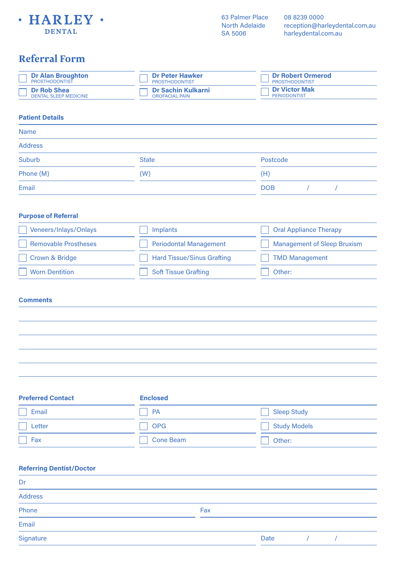

08 8239 0000 reception@harleydental.com.au harleydental.com.au

| <b>Referral Form</b>                               |                                                    |                                                   |
|----------------------------------------------------|----------------------------------------------------|---------------------------------------------------|
| <b>Dr Alan Broughton</b><br><b>PROSTHODONTIST</b>  | <b>Dr Peter Hawker</b><br><b>PROSTHODONTIST</b>    | <b>Dr Robert Ormerod</b><br><b>PROSTHODONTIST</b> |
| <b>Dr Rob Shea</b><br><b>DENTAL SLEEP MEDICINE</b> | <b>Dr Sachin Kulkarni</b><br><b>OROFACIAL PAIN</b> | <b>Dr Victor Mak</b><br><b>PERIODONTIST</b>       |
| <b>Patient Details</b>                             |                                                    |                                                   |
| <b>Name</b>                                        |                                                    |                                                   |
| <b>Address</b>                                     |                                                    |                                                   |
| Suburb                                             | <b>State</b>                                       | Postcode                                          |
| Phone (M)                                          | (W)                                                | (H)                                               |
| Email                                              |                                                    | <b>DOB</b><br>$\prime$<br>$\prime$                |
|                                                    |                                                    |                                                   |
| <b>Purpose of Referral</b>                         |                                                    |                                                   |
| Veneers/Inlays/Onlays                              | <b>Implants</b>                                    | <b>Oral Appliance Therapy</b>                     |
| <b>Removable Prostheses</b>                        | <b>Periodontal Management</b>                      | <b>Management of Sleep Bruxism</b>                |
| <b>Crown &amp; Bridge</b>                          | <b>Hard Tissue/Sinus Grafting</b>                  | <b>TMD Management</b>                             |
| <b>Worn Dentition</b>                              | <b>Soft Tissue Grafting</b>                        | Other:                                            |
|                                                    |                                                    |                                                   |
| <b>Comments</b>                                    |                                                    |                                                   |
|                                                    |                                                    |                                                   |
|                                                    |                                                    |                                                   |
|                                                    |                                                    |                                                   |
|                                                    |                                                    |                                                   |
|                                                    |                                                    |                                                   |
|                                                    |                                                    |                                                   |
| <b>Preferred Contact</b>                           | <b>Enclosed</b>                                    |                                                   |
| Email                                              | PA                                                 | <b>Sleep Study</b>                                |
| Letter                                             | <b>OPG</b>                                         | <b>Study Models</b>                               |
| Fax                                                | <b>Cone Beam</b>                                   | Other:                                            |

## **Referring Dentist/Doctor** Address Phone Fax and the Contract of the Contract of the Contract of the Contract of the Contract of the Contract of the Contract of the Contract of the Contract of the Contract of the Contract of the Contract of the Contract of Email **Signature** Dr Date / /